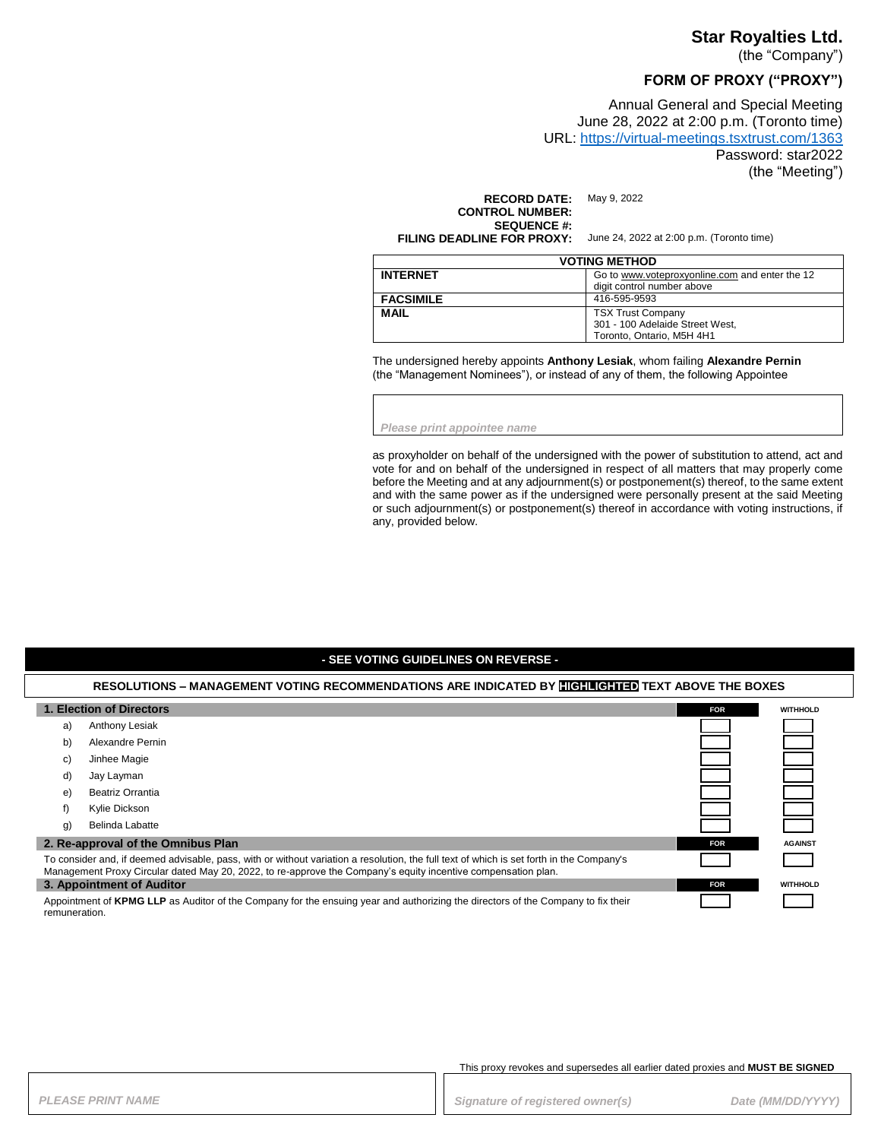## **Star Royalties Ltd.**

(the "Company")

# **FORM OF PROXY ("PROXY")**

Annual General and Special Meeting June 28, 2022 at 2:00 p.m. (Toronto time) URL:<https://virtual-meetings.tsxtrust.com/1363> Password: star2022 (the "Meeting")

**RECORD DATE:** May 9, 2022 **CONTROL NUMBER: SEQUENCE #:**<br>FILING DEADLINE FOR PROXY:

June 24, 2022 at 2:00 p.m. (Toronto time)

| <b>VOTING METHOD</b> |                                                                                          |
|----------------------|------------------------------------------------------------------------------------------|
| <b>INTERNET</b>      | Go to www.voteproxyonline.com and enter the 12<br>digit control number above             |
| <b>FACSIMILE</b>     | 416-595-9593                                                                             |
| <b>MAIL</b>          | <b>TSX Trust Company</b><br>301 - 100 Adelaide Street West,<br>Toronto. Ontario. M5H 4H1 |

The undersigned hereby appoints **Anthony Lesiak**, whom failing **Alexandre Pernin** (the "Management Nominees"), or instead of any of them, the following Appointee

*Please print appointee name*

as proxyholder on behalf of the undersigned with the power of substitution to attend, act and vote for and on behalf of the undersigned in respect of all matters that may properly come before the Meeting and at any adjournment(s) or postponement(s) thereof, to the same extent and with the same power as if the undersigned were personally present at the said Meeting or such adjournment(s) or postponement(s) thereof in accordance with voting instructions, if any, provided below.

### **- SEE VOTING GUIDELINES ON REVERSE -**

### **RESOLUTIONS – MANAGEMENT VOTING RECOMMENDATIONS ARE INDICATED BY HIGHLIGHTED TEXT ABOVE THE BOXES 1. Election of Directors FOR FOR FOR FOR FOR FOR FOR FOR FOR FOR FOR FOR FOR FOR FOR** a) Anthony Lesiak b) Alexandre Pernin c) Jinhee Magie d) Jay Layman e) Beatriz Orrantia f) Kylie Dickson g) Belinda Labatte **2. Re-approval of the Omnibus Plan FOR FOR FOR** *FOR* **<b>***FOR FOR FOR FOR FOR FOR FOR* To consider and, if deemed advisable, pass, with or without variation a resolution, the full text of which is set forth in the Company's Management Proxy Circular dated May 20, 2022, to re-approve the Company's equity incentive compensation plan. **3. Appointment of Auditor FOR WITHHOLD** Appointment of **KPMG LLP** as Auditor of the Company for the ensuing year and authorizing the directors of the Company to fix their remuneration.

This proxy revokes and supersedes all earlier dated proxies and **MUST BE SIGNED**

PLEASE PRINT NAME *PLEASE PRINT NAME PLEASE PRINT NAME Signature of registered owner(s)**Date (MM/DD/YYYY)*